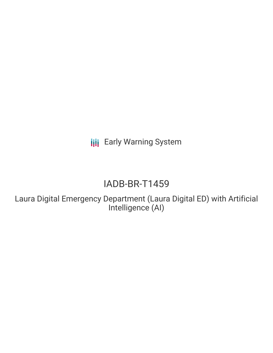**III** Early Warning System

# IADB-BR-T1459

Laura Digital Emergency Department (Laura Digital ED) with Artificial Intelligence (AI)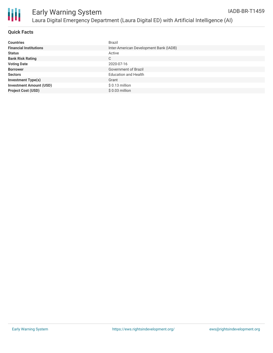

| <b>Countries</b>               | <b>Brazil</b>                          |
|--------------------------------|----------------------------------------|
| <b>Financial Institutions</b>  | Inter-American Development Bank (IADB) |
| <b>Status</b>                  | Active                                 |
| <b>Bank Risk Rating</b>        | C                                      |
| <b>Voting Date</b>             | 2020-07-16                             |
| <b>Borrower</b>                | Government of Brazil                   |
| <b>Sectors</b>                 | <b>Education and Health</b>            |
| <b>Investment Type(s)</b>      | Grant                                  |
| <b>Investment Amount (USD)</b> | $$0.13$ million                        |
| <b>Project Cost (USD)</b>      | $$0.03$ million                        |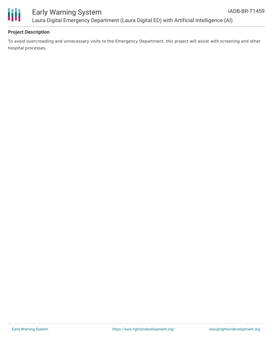



# Early Warning System Laura Digital Emergency Department (Laura Digital ED) with Artificial Intelligence (AI)

#### **Project Description**

To avoid overcrowding and unnecessary visits to the Emergency Department, this project will assist with screening and other hospital processes.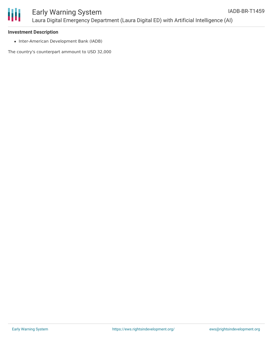

### **Investment Description**

• Inter-American Development Bank (IADB)

The country's counterpart ammount to USD 32,000